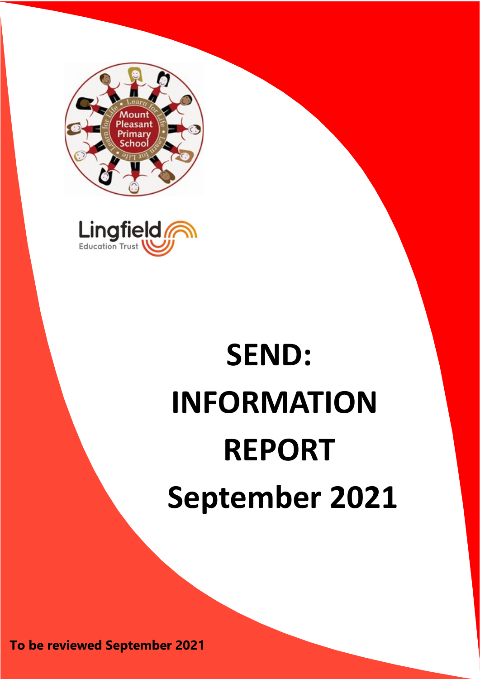



# **SEND: INFORMATION REPORT September 2021**

**To be reviewed September 2021**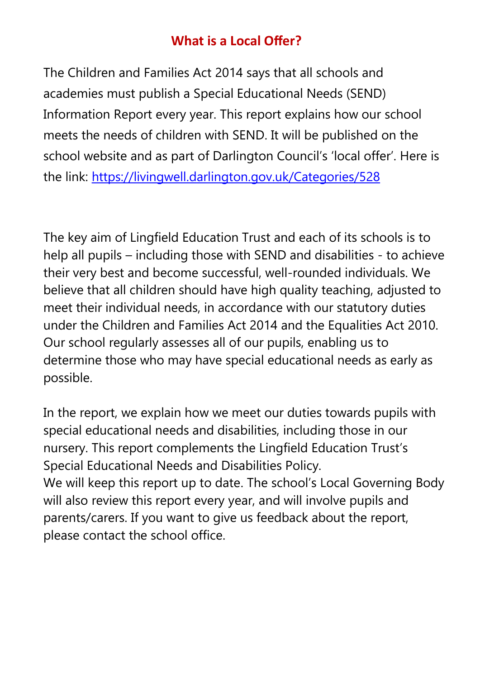# **What is a Local Offer?**

The Children and Families Act 2014 says that all schools and academies must publish a Special Educational Needs (SEND) Information Report every year. This report explains how our school meets the needs of children with SEND. It will be published on the school website and as part of Darlington Council's 'local offer'. Here is the link: <https://livingwell.darlington.gov.uk/Categories/528>

The key aim of Lingfield Education Trust and each of its schools is to help all pupils – including those with SEND and disabilities - to achieve their very best and become successful, well-rounded individuals. We believe that all children should have high quality teaching, adjusted to meet their individual needs, in accordance with our statutory duties under the Children and Families Act 2014 and the Equalities Act 2010. Our school regularly assesses all of our pupils, enabling us to determine those who may have special educational needs as early as possible.

In the report, we explain how we meet our duties towards pupils with special educational needs and disabilities, including those in our nursery. This report complements the Lingfield Education Trust's Special Educational Needs and Disabilities Policy. We will keep this report up to date. The school's Local Governing Body will also review this report every year, and will involve pupils and parents/carers. If you want to give us feedback about the report, please contact the school office.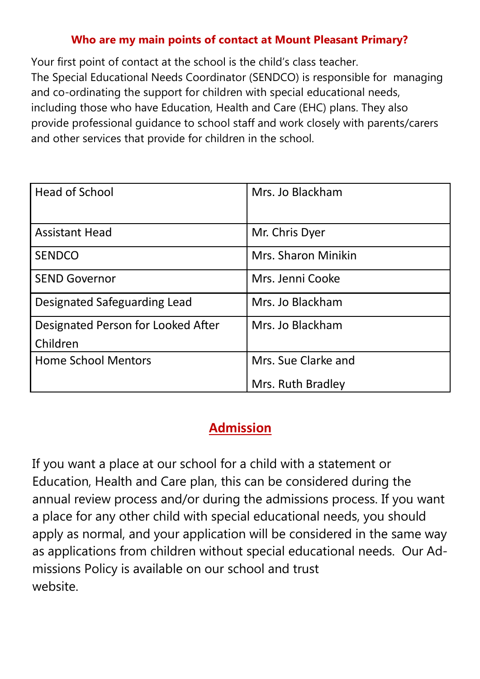#### **Who are my main points of contact at Mount Pleasant Primary?**

Your first point of contact at the school is the child's class teacher. The Special Educational Needs Coordinator (SENDCO) is responsible for managing and co-ordinating the support for children with special educational needs, including those who have Education, Health and Care (EHC) plans. They also provide professional guidance to school staff and work closely with parents/carers and other services that provide for children in the school.

| <b>Head of School</b>               | Mrs. Jo Blackham    |
|-------------------------------------|---------------------|
| <b>Assistant Head</b>               | Mr. Chris Dyer      |
| <b>SENDCO</b>                       | Mrs. Sharon Minikin |
| <b>SEND Governor</b>                | Mrs. Jenni Cooke    |
| <b>Designated Safeguarding Lead</b> | Mrs. Jo Blackham    |
| Designated Person for Looked After  | Mrs. Jo Blackham    |
| Children                            |                     |
| <b>Home School Mentors</b>          | Mrs. Sue Clarke and |
|                                     | Mrs. Ruth Bradley   |

# **Admission**

If you want a place at our school for a child with a statement or Education, Health and Care plan, this can be considered during the annual review process and/or during the admissions process. If you want a place for any other child with special educational needs, you should apply as normal, and your application will be considered in the same way as applications from children without special educational needs. Our Admissions Policy is available on our school and trust website.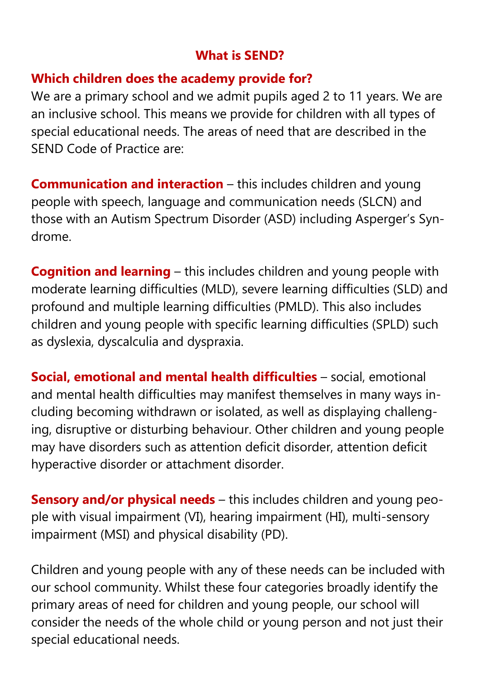## **What is SEND?**

## **Which children does the academy provide for?**

We are a primary school and we admit pupils aged 2 to 11 years. We are an inclusive school. This means we provide for children with all types of special educational needs. The areas of need that are described in the SEND Code of Practice are:

**Communication and interaction** – this includes children and young people with speech, language and communication needs (SLCN) and those with an Autism Spectrum Disorder (ASD) including Asperger's Syndrome.

**Cognition and learning** – this includes children and young people with moderate learning difficulties (MLD), severe learning difficulties (SLD) and profound and multiple learning difficulties (PMLD). This also includes children and young people with specific learning difficulties (SPLD) such as dyslexia, dyscalculia and dyspraxia.

**Social, emotional and mental health difficulties** – social, emotional and mental health difficulties may manifest themselves in many ways including becoming withdrawn or isolated, as well as displaying challenging, disruptive or disturbing behaviour. Other children and young people may have disorders such as attention deficit disorder, attention deficit hyperactive disorder or attachment disorder.

**Sensory and/or physical needs** – this includes children and young people with visual impairment (VI), hearing impairment (HI), multi-sensory impairment (MSI) and physical disability (PD).

Children and young people with any of these needs can be included with our school community. Whilst these four categories broadly identify the primary areas of need for children and young people, our school will consider the needs of the whole child or young person and not just their special educational needs.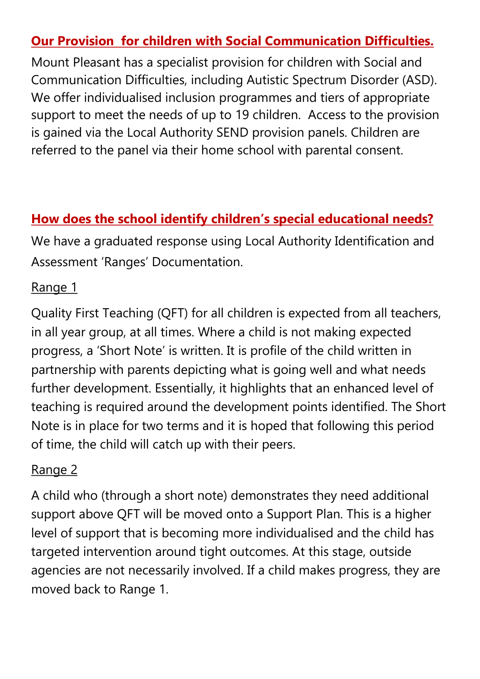# **Our Provision for children with Social Communication Difficulties.**

Mount Pleasant has a specialist provision for children with Social and Communication Difficulties, including Autistic Spectrum Disorder (ASD). We offer individualised inclusion programmes and tiers of appropriate support to meet the needs of up to 19 children. Access to the provision is gained via the Local Authority SEND provision panels. Children are referred to the panel via their home school with parental consent.

# **How does the school identify children's special educational needs?**

We have a graduated response using Local Authority Identification and Assessment 'Ranges' Documentation.

## Range 1

Quality First Teaching (QFT) for all children is expected from all teachers, in all year group, at all times. Where a child is not making expected progress, a 'Short Note' is written. It is profile of the child written in partnership with parents depicting what is going well and what needs further development. Essentially, it highlights that an enhanced level of teaching is required around the development points identified. The Short Note is in place for two terms and it is hoped that following this period of time, the child will catch up with their peers.

## Range 2

A child who (through a short note) demonstrates they need additional support above QFT will be moved onto a Support Plan. This is a higher level of support that is becoming more individualised and the child has targeted intervention around tight outcomes. At this stage, outside agencies are not necessarily involved. If a child makes progress, they are moved back to Range 1.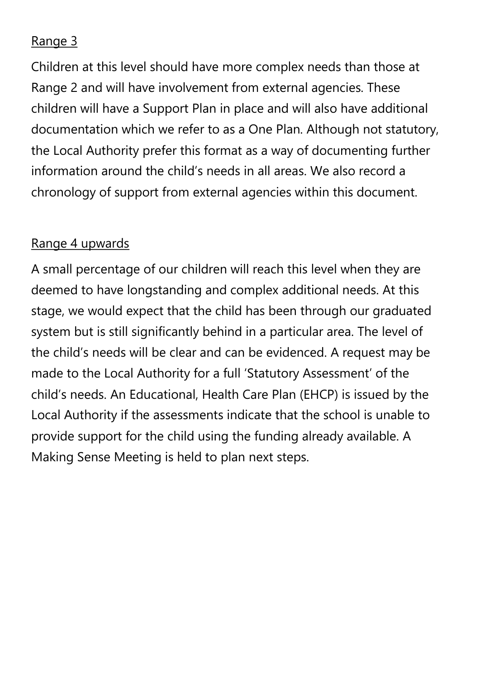# Range 3

Children at this level should have more complex needs than those at Range 2 and will have involvement from external agencies. These children will have a Support Plan in place and will also have additional documentation which we refer to as a One Plan. Although not statutory, the Local Authority prefer this format as a way of documenting further information around the child's needs in all areas. We also record a chronology of support from external agencies within this document.

## Range 4 upwards

A small percentage of our children will reach this level when they are deemed to have longstanding and complex additional needs. At this stage, we would expect that the child has been through our graduated system but is still significantly behind in a particular area. The level of the child's needs will be clear and can be evidenced. A request may be made to the Local Authority for a full 'Statutory Assessment' of the child's needs. An Educational, Health Care Plan (EHCP) is issued by the Local Authority if the assessments indicate that the school is unable to provide support for the child using the funding already available. A Making Sense Meeting is held to plan next steps.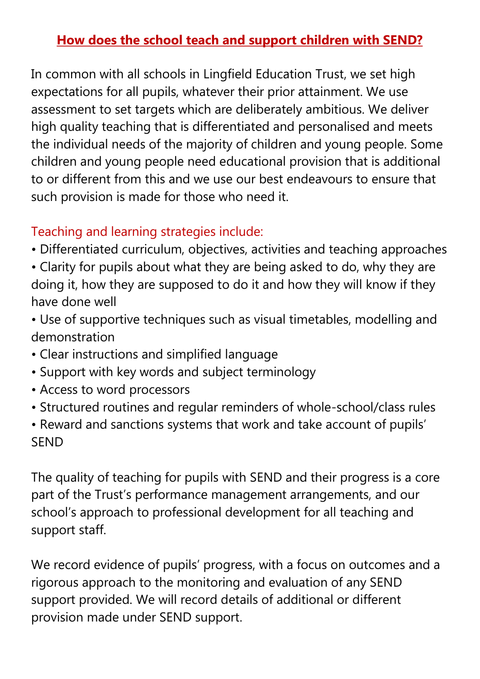# **How does the school teach and support children with SEND?**

In common with all schools in Lingfield Education Trust, we set high expectations for all pupils, whatever their prior attainment. We use assessment to set targets which are deliberately ambitious. We deliver high quality teaching that is differentiated and personalised and meets the individual needs of the majority of children and young people. Some children and young people need educational provision that is additional to or different from this and we use our best endeavours to ensure that such provision is made for those who need it.

# Teaching and learning strategies include:

- Differentiated curriculum, objectives, activities and teaching approaches
- Clarity for pupils about what they are being asked to do, why they are doing it, how they are supposed to do it and how they will know if they have done well
- Use of supportive techniques such as visual timetables, modelling and demonstration
- Clear instructions and simplified language
- Support with key words and subject terminology
- Access to word processors
- Structured routines and regular reminders of whole-school/class rules
- Reward and sanctions systems that work and take account of pupils' SEND

The quality of teaching for pupils with SEND and their progress is a core part of the Trust's performance management arrangements, and our school's approach to professional development for all teaching and support staff.

We record evidence of pupils' progress, with a focus on outcomes and a rigorous approach to the monitoring and evaluation of any SEND support provided. We will record details of additional or different provision made under SEND support.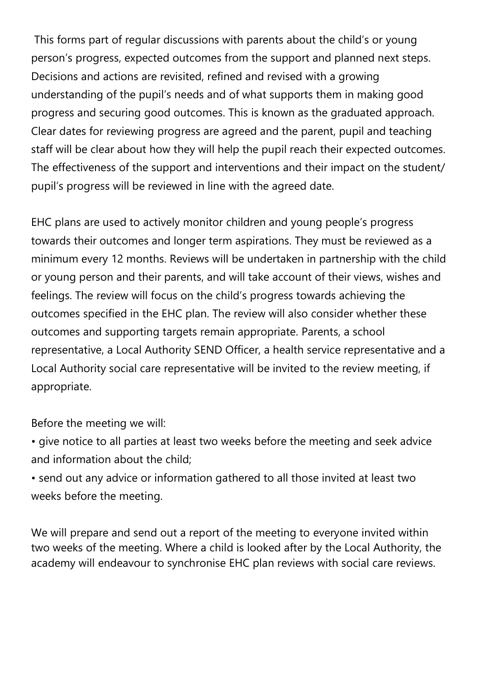This forms part of regular discussions with parents about the child's or young person's progress, expected outcomes from the support and planned next steps. Decisions and actions are revisited, refined and revised with a growing understanding of the pupil's needs and of what supports them in making good progress and securing good outcomes. This is known as the graduated approach. Clear dates for reviewing progress are agreed and the parent, pupil and teaching staff will be clear about how they will help the pupil reach their expected outcomes. The effectiveness of the support and interventions and their impact on the student/ pupil's progress will be reviewed in line with the agreed date.

EHC plans are used to actively monitor children and young people's progress towards their outcomes and longer term aspirations. They must be reviewed as a minimum every 12 months. Reviews will be undertaken in partnership with the child or young person and their parents, and will take account of their views, wishes and feelings. The review will focus on the child's progress towards achieving the outcomes specified in the EHC plan. The review will also consider whether these outcomes and supporting targets remain appropriate. Parents, a school representative, a Local Authority SEND Officer, a health service representative and a Local Authority social care representative will be invited to the review meeting, if appropriate.

Before the meeting we will:

• give notice to all parties at least two weeks before the meeting and seek advice and information about the child;

• send out any advice or information gathered to all those invited at least two weeks before the meeting.

We will prepare and send out a report of the meeting to everyone invited within two weeks of the meeting. Where a child is looked after by the Local Authority, the academy will endeavour to synchronise EHC plan reviews with social care reviews.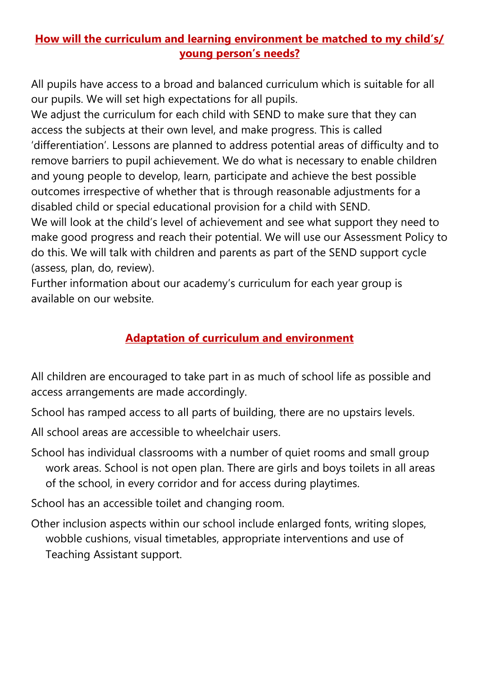## **How will the curriculum and learning environment be matched to my child's/ young person's needs?**

All pupils have access to a broad and balanced curriculum which is suitable for all our pupils. We will set high expectations for all pupils.

We adjust the curriculum for each child with SEND to make sure that they can access the subjects at their own level, and make progress. This is called 'differentiation'. Lessons are planned to address potential areas of difficulty and to remove barriers to pupil achievement. We do what is necessary to enable children and young people to develop, learn, participate and achieve the best possible outcomes irrespective of whether that is through reasonable adjustments for a disabled child or special educational provision for a child with SEND.

We will look at the child's level of achievement and see what support they need to make good progress and reach their potential. We will use our Assessment Policy to do this. We will talk with children and parents as part of the SEND support cycle (assess, plan, do, review).

Further information about our academy's curriculum for each year group is available on our website.

## **Adaptation of curriculum and environment**

All children are encouraged to take part in as much of school life as possible and access arrangements are made accordingly.

School has ramped access to all parts of building, there are no upstairs levels.

- All school areas are accessible to wheelchair users.
- School has individual classrooms with a number of quiet rooms and small group work areas. School is not open plan. There are girls and boys toilets in all areas of the school, in every corridor and for access during playtimes.

School has an accessible toilet and changing room.

Other inclusion aspects within our school include enlarged fonts, writing slopes, wobble cushions, visual timetables, appropriate interventions and use of Teaching Assistant support.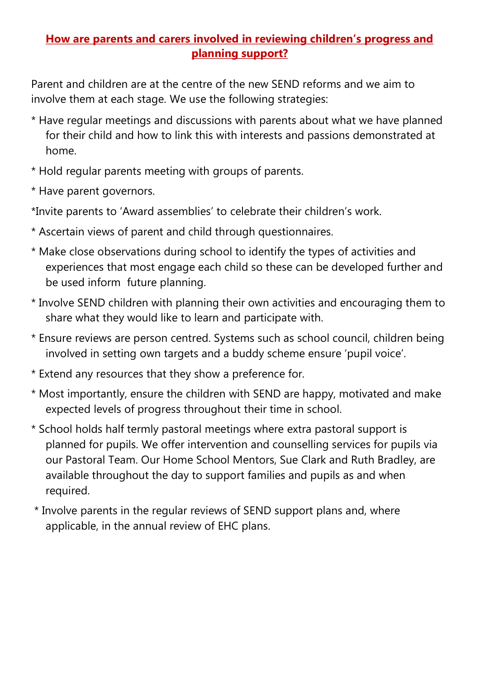#### **How are parents and carers involved in reviewing children's progress and planning support?**

Parent and children are at the centre of the new SEND reforms and we aim to involve them at each stage. We use the following strategies:

- \* Have regular meetings and discussions with parents about what we have planned for their child and how to link this with interests and passions demonstrated at home.
- \* Hold regular parents meeting with groups of parents.
- \* Have parent governors.

\*Invite parents to 'Award assemblies' to celebrate their children's work.

- \* Ascertain views of parent and child through questionnaires.
- \* Make close observations during school to identify the types of activities and experiences that most engage each child so these can be developed further and be used inform future planning.
- \* Involve SEND children with planning their own activities and encouraging them to share what they would like to learn and participate with.
- \* Ensure reviews are person centred. Systems such as school council, children being involved in setting own targets and a buddy scheme ensure 'pupil voice'.
- \* Extend any resources that they show a preference for.
- \* Most importantly, ensure the children with SEND are happy, motivated and make expected levels of progress throughout their time in school.
- \* School holds half termly pastoral meetings where extra pastoral support is planned for pupils. We offer intervention and counselling services for pupils via our Pastoral Team. Our Home School Mentors, Sue Clark and Ruth Bradley, are available throughout the day to support families and pupils as and when required.
- \* Involve parents in the regular reviews of SEND support plans and, where applicable, in the annual review of EHC plans.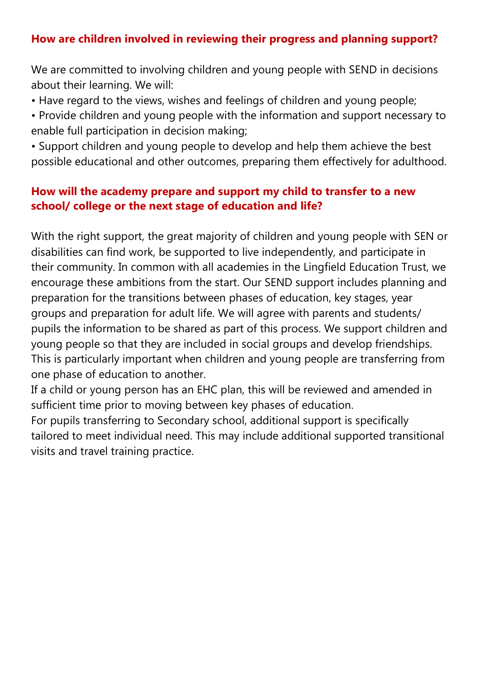## **How are children involved in reviewing their progress and planning support?**

We are committed to involving children and young people with SEND in decisions about their learning. We will:

- Have regard to the views, wishes and feelings of children and young people;
- Provide children and young people with the information and support necessary to enable full participation in decision making;
- Support children and young people to develop and help them achieve the best possible educational and other outcomes, preparing them effectively for adulthood.

#### **How will the academy prepare and support my child to transfer to a new school/ college or the next stage of education and life?**

With the right support, the great majority of children and young people with SEN or disabilities can find work, be supported to live independently, and participate in their community. In common with all academies in the Lingfield Education Trust, we encourage these ambitions from the start. Our SEND support includes planning and preparation for the transitions between phases of education, key stages, year groups and preparation for adult life. We will agree with parents and students/ pupils the information to be shared as part of this process. We support children and young people so that they are included in social groups and develop friendships. This is particularly important when children and young people are transferring from one phase of education to another.

If a child or young person has an EHC plan, this will be reviewed and amended in sufficient time prior to moving between key phases of education.

For pupils transferring to Secondary school, additional support is specifically tailored to meet individual need. This may include additional supported transitional visits and travel training practice.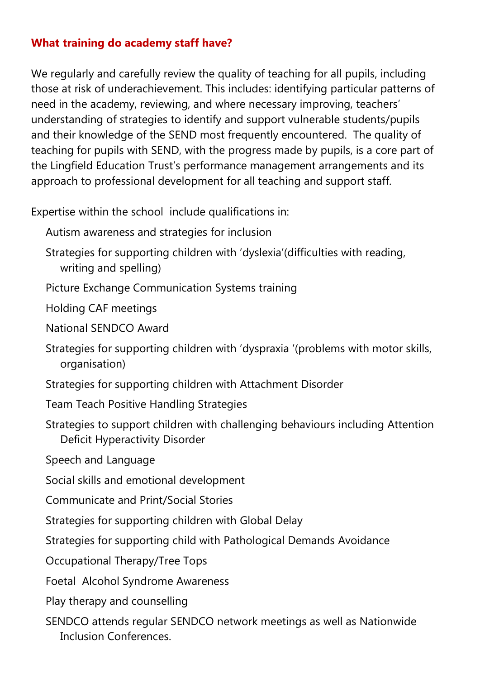## **What training do academy staff have?**

We regularly and carefully review the quality of teaching for all pupils, including those at risk of underachievement. This includes: identifying particular patterns of need in the academy, reviewing, and where necessary improving, teachers' understanding of strategies to identify and support vulnerable students/pupils and their knowledge of the SEND most frequently encountered. The quality of teaching for pupils with SEND, with the progress made by pupils, is a core part of the Lingfield Education Trust's performance management arrangements and its approach to professional development for all teaching and support staff.

Expertise within the school include qualifications in:

Autism awareness and strategies for inclusion

Strategies for supporting children with 'dyslexia'(difficulties with reading, writing and spelling)

Picture Exchange Communication Systems training

Holding CAF meetings

National SENDCO Award

Strategies for supporting children with 'dyspraxia '(problems with motor skills, organisation)

Strategies for supporting children with Attachment Disorder

Team Teach Positive Handling Strategies

Strategies to support children with challenging behaviours including Attention Deficit Hyperactivity Disorder

Speech and Language

Social skills and emotional development

Communicate and Print/Social Stories

Strategies for supporting children with Global Delay

Strategies for supporting child with Pathological Demands Avoidance

Occupational Therapy/Tree Tops

Foetal Alcohol Syndrome Awareness

Play therapy and counselling

SENDCO attends regular SENDCO network meetings as well as Nationwide Inclusion Conferences.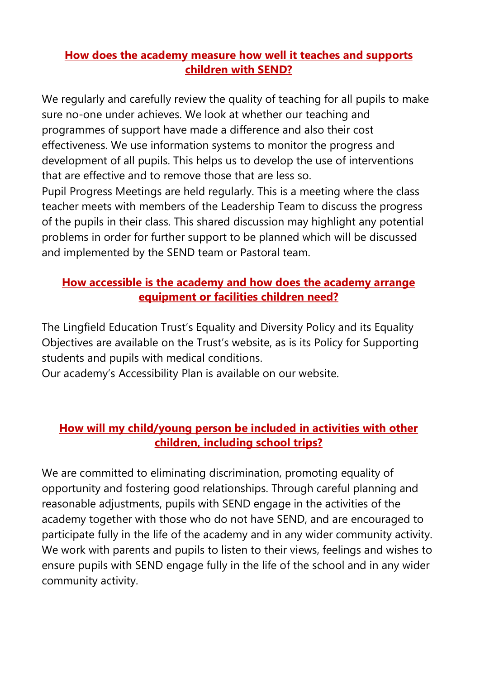#### **How does the academy measure how well it teaches and supports children with SEND?**

We regularly and carefully review the quality of teaching for all pupils to make sure no-one under achieves. We look at whether our teaching and programmes of support have made a difference and also their cost effectiveness. We use information systems to monitor the progress and development of all pupils. This helps us to develop the use of interventions that are effective and to remove those that are less so.

Pupil Progress Meetings are held regularly. This is a meeting where the class teacher meets with members of the Leadership Team to discuss the progress of the pupils in their class. This shared discussion may highlight any potential problems in order for further support to be planned which will be discussed and implemented by the SEND team or Pastoral team.

#### **How accessible is the academy and how does the academy arrange equipment or facilities children need?**

The Lingfield Education Trust's Equality and Diversity Policy and its Equality Objectives are available on the Trust's website, as is its Policy for Supporting students and pupils with medical conditions.

Our academy's Accessibility Plan is available on our website.

## **How will my child/young person be included in activities with other children, including school trips?**

We are committed to eliminating discrimination, promoting equality of opportunity and fostering good relationships. Through careful planning and reasonable adjustments, pupils with SEND engage in the activities of the academy together with those who do not have SEND, and are encouraged to participate fully in the life of the academy and in any wider community activity. We work with parents and pupils to listen to their views, feelings and wishes to ensure pupils with SEND engage fully in the life of the school and in any wider community activity.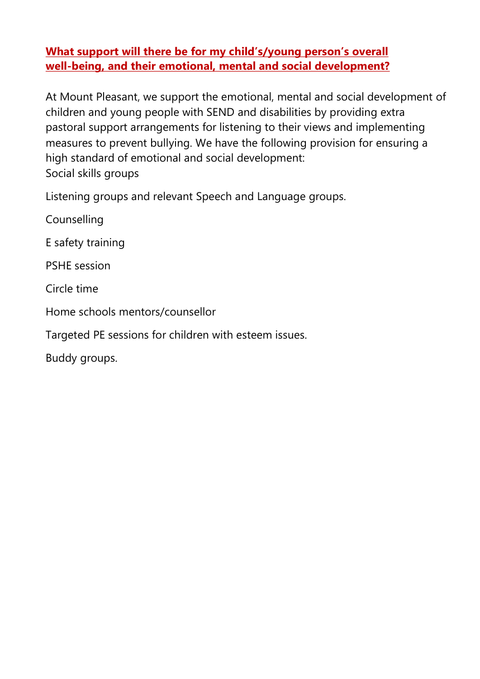#### **What support will there be for my child's/young person's overall well-being, and their emotional, mental and social development?**

At Mount Pleasant, we support the emotional, mental and social development of children and young people with SEND and disabilities by providing extra pastoral support arrangements for listening to their views and implementing measures to prevent bullying. We have the following provision for ensuring a high standard of emotional and social development: Social skills groups

Listening groups and relevant Speech and Language groups.

Counselling

E safety training

PSHE session

Circle time

Home schools mentors/counsellor

Targeted PE sessions for children with esteem issues.

Buddy groups.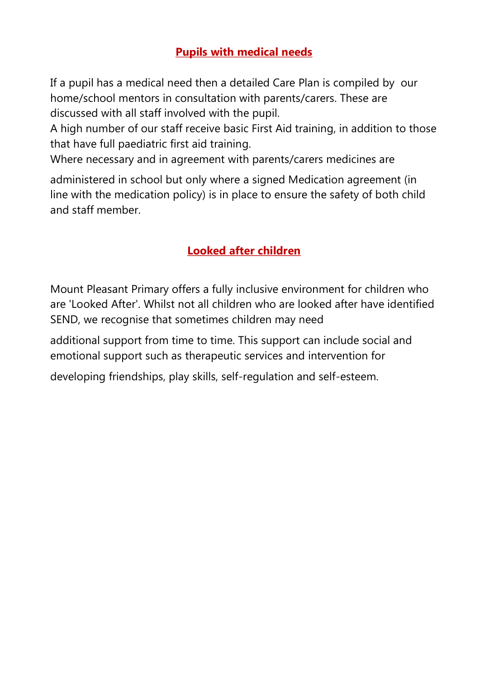## **Pupils with medical needs**

If a pupil has a medical need then a detailed Care Plan is compiled by our home/school mentors in consultation with parents/carers. These are discussed with all staff involved with the pupil.

A high number of our staff receive basic First Aid training, in addition to those that have full paediatric first aid training.

Where necessary and in agreement with parents/carers medicines are

administered in school but only where a signed Medication agreement (in line with the medication policy) is in place to ensure the safety of both child and staff member.

## **Looked after children**

Mount Pleasant Primary offers a fully inclusive environment for children who are 'Looked After'. Whilst not all children who are looked after have identified SEND, we recognise that sometimes children may need

additional support from time to time. This support can include social and emotional support such as therapeutic services and intervention for

developing friendships, play skills, self-regulation and self-esteem.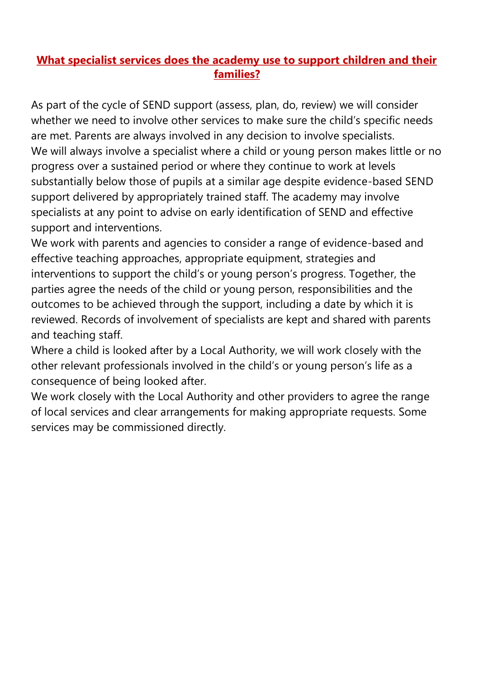#### **What specialist services does the academy use to support children and their families?**

As part of the cycle of SEND support (assess, plan, do, review) we will consider whether we need to involve other services to make sure the child's specific needs are met. Parents are always involved in any decision to involve specialists. We will always involve a specialist where a child or young person makes little or no progress over a sustained period or where they continue to work at levels substantially below those of pupils at a similar age despite evidence-based SEND support delivered by appropriately trained staff. The academy may involve specialists at any point to advise on early identification of SEND and effective support and interventions.

We work with parents and agencies to consider a range of evidence-based and effective teaching approaches, appropriate equipment, strategies and interventions to support the child's or young person's progress. Together, the parties agree the needs of the child or young person, responsibilities and the outcomes to be achieved through the support, including a date by which it is reviewed. Records of involvement of specialists are kept and shared with parents and teaching staff.

Where a child is looked after by a Local Authority, we will work closely with the other relevant professionals involved in the child's or young person's life as a consequence of being looked after.

We work closely with the Local Authority and other providers to agree the range of local services and clear arrangements for making appropriate requests. Some services may be commissioned directly.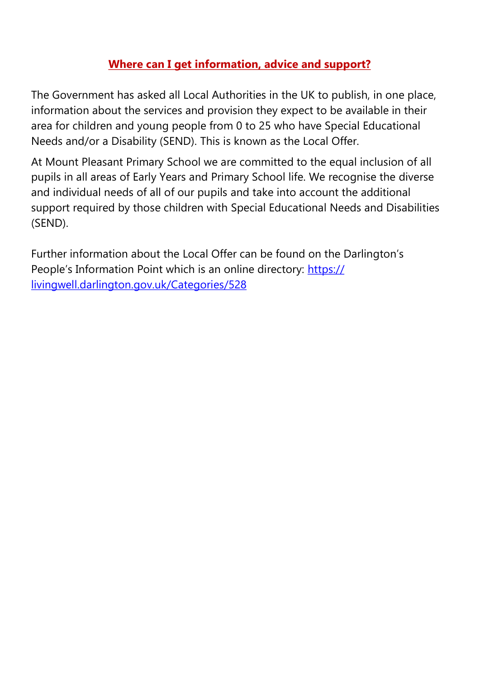#### **Where can I get information, advice and support?**

The Government has asked all Local Authorities in the UK to publish, in one place, information about the services and provision they expect to be available in their area for children and young people from 0 to 25 who have Special Educational Needs and/or a Disability (SEND). This is known as the Local Offer.

At Mount Pleasant Primary School we are committed to the equal inclusion of all pupils in all areas of Early Years and Primary School life. We recognise the diverse and individual needs of all of our pupils and take into account the additional support required by those children with Special Educational Needs and Disabilities (SEND).

Further information about the Local Offer can be found on the Darlington's People's Information Point which is an online directory: [https://](https://livingwell.darlington.gov.uk/Categories/528) [livingwell.darlington.gov.uk/Categories/528](https://livingwell.darlington.gov.uk/Categories/528)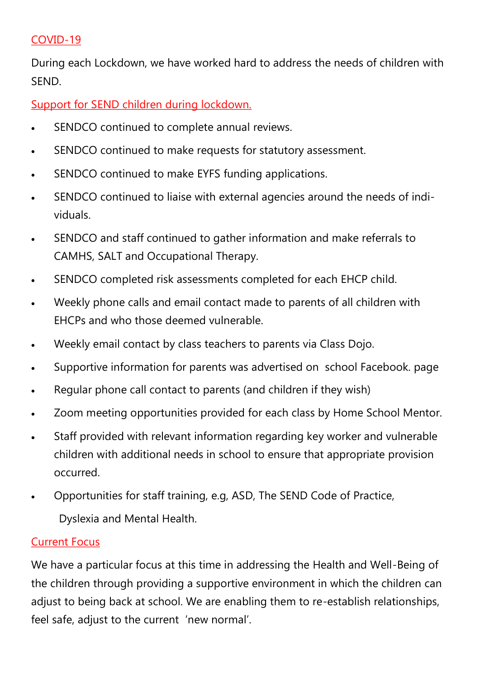#### COVID-19

During each Lockdown, we have worked hard to address the needs of children with SEND.

Support for SEND children during lockdown.

- SENDCO continued to complete annual reviews.
- SENDCO continued to make requests for statutory assessment.
- SENDCO continued to make EYFS funding applications.
- SENDCO continued to liaise with external agencies around the needs of individuals.
- SENDCO and staff continued to gather information and make referrals to CAMHS, SALT and Occupational Therapy.
- SENDCO completed risk assessments completed for each EHCP child.
- Weekly phone calls and email contact made to parents of all children with EHCPs and who those deemed vulnerable.
- Weekly email contact by class teachers to parents via Class Dojo.
- Supportive information for parents was advertised on school Facebook. page
- Regular phone call contact to parents (and children if they wish)
- Zoom meeting opportunities provided for each class by Home School Mentor.
- Staff provided with relevant information regarding key worker and vulnerable children with additional needs in school to ensure that appropriate provision occurred.
- Opportunities for staff training, e.g, ASD, The SEND Code of Practice,

Dyslexia and Mental Health.

#### Current Focus

We have a particular focus at this time in addressing the Health and Well-Being of the children through providing a supportive environment in which the children can adjust to being back at school. We are enabling them to re-establish relationships, feel safe, adjust to the current 'new normal'.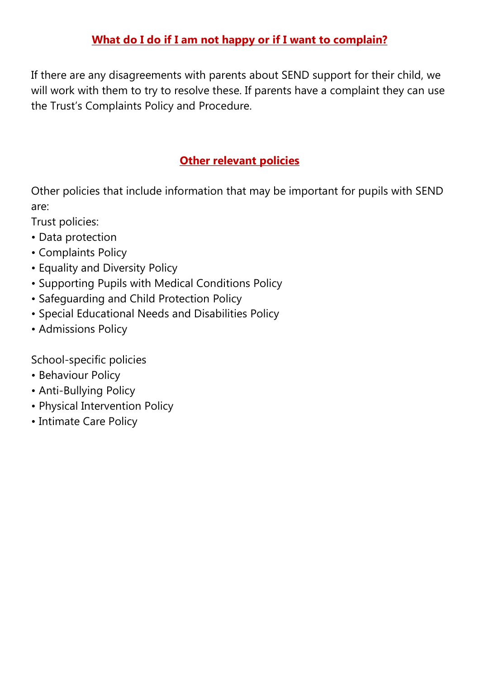## **What do I do if I am not happy or if I want to complain?**

If there are any disagreements with parents about SEND support for their child, we will work with them to try to resolve these. If parents have a complaint they can use the Trust's Complaints Policy and Procedure.

## **Other relevant policies**

Other policies that include information that may be important for pupils with SEND are:

Trust policies:

- Data protection
- Complaints Policy
- Equality and Diversity Policy
- Supporting Pupils with Medical Conditions Policy
- Safeguarding and Child Protection Policy
- Special Educational Needs and Disabilities Policy
- Admissions Policy

School-specific policies

- Behaviour Policy
- Anti-Bullying Policy
- Physical Intervention Policy
- Intimate Care Policy